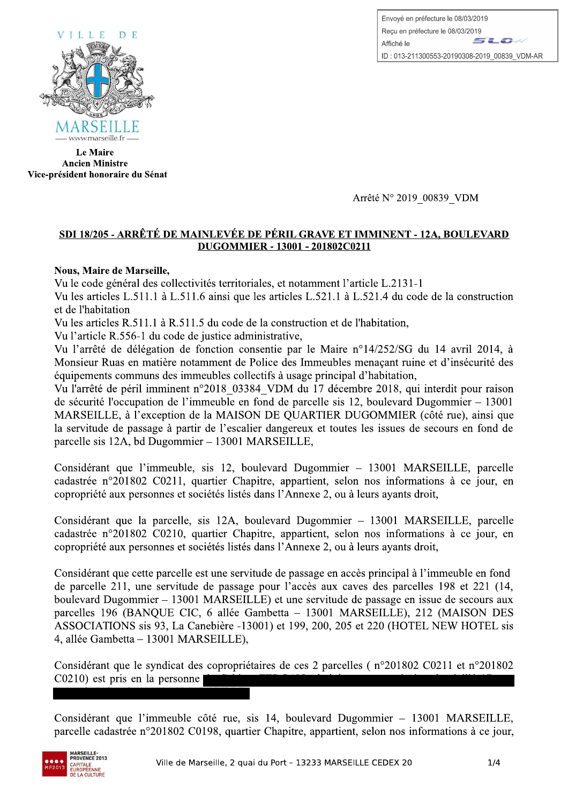Envoyé en préfecture le 08/03/2019 Reçu en préfecture le 08/03/2019  $\leq$   $\leq$ Affiché le ID: 013-211300553-20190308-2019 00839 VDM-AR



Le Maire Ancien Ministre Vice-president honoraire du Senat

## <u>18/205 - ARRETE DE MAINLEVEE DE PERIL GRAVE ET IMMINENT - 12A, B</u> <u>- 13001 - 201802C0211</u>

## Nous, Maire de Marseille,

Vu le code général des collectivités territoriales, et notamment l'article L.2131-1

WWWERSERLE TRAIN THE VIE ET LA RELATION And the USE of the USE of the CHAINET Viet-president honoraire du Sénat<br>
Arrêté N° 2019\_00839\_VDM<br>
SDI 18/205 - ARRÊTÉ DE MAINLEVÉE DE PÉRIL GRAVE ET IMMINENT - 12A, BOULE<br>
DUGOMMIER — www.marseille.fr —<br>
Le Maire<br> **Ancien Ministre**<br> **SDI 18/205 - ARRÊTÉ DE MAINLEVÉE DE I<br>
DUGOMMIER<br>
Nous, Maire de Marseille,<br>
Vu le code général des collectivités territoriale<br>
Vu les articles L.511.1 à L.511.6 ainsi qu** Sénat<br>
Stré DE MAINLEVÉE DE PÉRIL GRAVE ET<br>
DUGOMMIER - 13001 - 201802C<br>
Streille,<br>
des collectivités territoriales, et notamment l'a<br>
1.1 à L.511.6 ainsi que les articles L.521.1 à<br>
1.1 à R.511.5 du code de la constructio Maire<br>
Ministre<br>
Ministre<br>
Ministre<br>
Maintiere du Sénat<br>
2015 - ARRÊTÉ DE MAINLEVÉE DE PÉRIL GRAVE ET IMMINENT - 12A, BOULEVARD<br>
2015 - ARRÊTÉ DE MAINLEVÉE DE PÉRIL GRAVE ET IMMINENT - 12A, BOULEVARD<br>
2016 - Marseille,<br>
de Vu les articles L.511.1 à L.511.6 ainsi que les articles L.521.1 à L.521.4 du code de la construction et de l'habitation

Vu les articles R.511.1 à R.511.5 du code de la construction et de l'habitation,

Vu l'article R.556-1 du code de justice administrative,

XB>fC@pHDEB?@GO#R&X]eaMMeJ

Vu l'arrêté de délégation de fonction consentie par le Maire n°14/252/SG du 14 avril 2014, à Monsieur Ruas en matière notamment de Police des Immeubles menacant ruine et d'insécurité des équipements communs des immeubles collectifs à usage principal d'habitation,

Vu l'arrêté de péril imminent n°2018 03384 VDM du 17 décembre 2018, qui interdit pour raison de sécurité l'occupation de l'immeuble en fond de parcelle sis 12, boulevard Dugommier  $-13001$ MARSEILLE, à l'exception de la MAISON DE OUARTIER DUGOMMIER (côté rue), ainsi que la servitude de passage à partir de l'escalier dangereux et toutes les issues de secours en fond de parcelle sis 12A, bd Dugommier  $-$  13001 MARSEILLE,

Considérant que l'immeuble, sis 12, boulevard Dugommier – 13001 MARSEILLE, parcelle cadastrée n°201802 C0211, quartier Chapitre, appartient, selon nos informations à ce jour, en copropriété aux personnes et sociétés listés dans l'Annexe 2, ou à leurs ayants droit,

Considérant que la parcelle, sis 12A, boulevard Dugommier - 13001 MARSEILLE, parcelle cadastrée n°201802 C0210, quartier Chapitre, appartient, selon nos informations à ce jour, en copropriété aux personnes et sociétés listés dans l'Annexe 2, ou à leurs ayants droit,

Considérant que cette parcelle est une servitude de passage en accès principal à l'immeuble en fond de parcelle 211, une servitude de passage pour l'accès aux caves des parcelles 198 et 221 (14, boulevard Dugommier – 13001 MARSEILLE) et une servitude de passage en issue de secours aux parcelles 196 (BANQUE CIC, 6 allée Gambetta – 13001 MARSEILLE), 212 (MAISON DES ASSOCIATIONS sis 93, La Canebière -13001) et 199, 200, 205 et 220 (HOTEL NEW HOTEL sis 4, allée Gambetta – 13001 MARSEILLE),

Considérant que le syndicat des copropriétaires de ces 2 parcelles (n°201802 C0211 et n°201802  $C<sub>0210</sub>$  est pris en la personne

Considérant que l'immeuble côté rue, sis 14, boulevard Dugommier – 13001 MARSEILLE, parcelle cadastrée n°201802 C0198, quartier Chapitre, appartient, selon nos informations à ce jour,

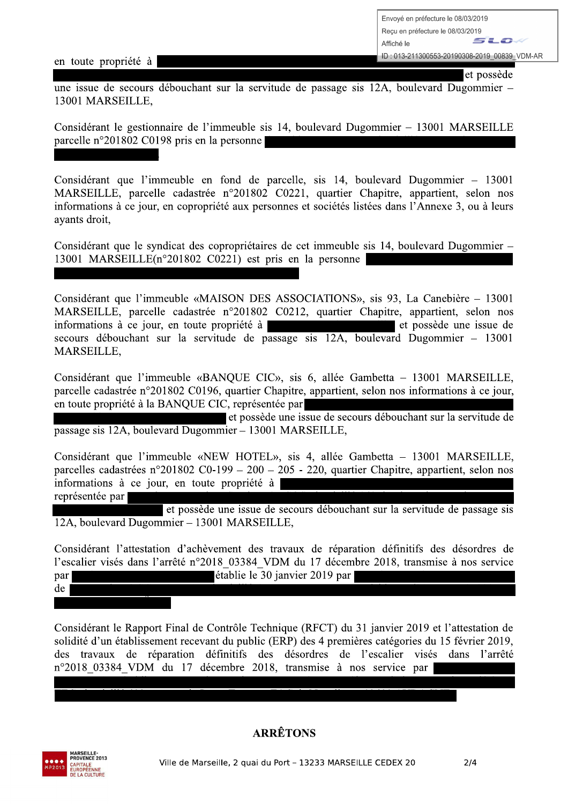en toute propriété à

et possède

une issue de secours débouchant sur la servitude de passage sis 12A, boulevard Dugommier – 13001 MARSEILLE,

Considérant le gestionnaire de l'immeuble sis 14, boulevard Dugommier – 13001 MARSEILLE parcelle n°201802 C0198 pris en la personne

Considérant que l'immeuble en fond de parcelle, sis 14, boulevard Dugommier – 13001 MARSEILLE, parcelle cadastrée n°201802 C0221, quartier Chapitre, appartient, selon nos informations à ce jour, en copropriété aux personnes et sociétés listées dans l'Annexe 3, ou à leurs ayants droit,

Considérant que le syndicat des copropriétaires de cet immeuble sis 14, boulevard Dugommier – 13001 MARSEILLE(n°201802 C0221) est pris en la personne

Considérant que l'immeuble «MAISON DES ASSOCIATIONS», sis 93, La Canebière - 13001 MARSEILLE, parcelle cadastrée n°201802 C0212, quartier Chapitre, appartient, selon nos informations à ce jour, en toute propriété à et possède une issue de secours débouchant sur la servitude de passage sis 12A, boulevard Dugommier - 13001 MARSEILLE.

Considérant que l'immeuble «BANQUE CIC», sis 6, allée Gambetta - 13001 MARSEILLE, parcelle cadastrée n°201802 C0196, quartier Chapitre, appartient, selon nos informations à ce jour, en toute propriété à la BANQUE CIC, représentée par

et possède une issue de secours débouchant sur la servitude de passage sis 12A, boulevard Dugommier – 13001 MARSEILLE,

Considérant que l'immeuble «NEW HOTEL», sis 4, allée Gambetta - 13001 MARSEILLE, parcelles cadastrées  $n^{\circ}201802$  C0-199 – 200 – 205 - 220, quartier Chapitre, appartient, selon nos informations à ce jour, en toute propriété à représentée par

et possède une issue de secours débouchant sur la servitude de passage sis 12A, boulevard Dugommier - 13001 MARSEILLE,

Considérant l'attestation d'achèvement des travaux de réparation définitifs des désordres de l'escalier visés dans l'arrêté n°2018 03384 VDM du 17 décembre 2018, transmise à nos service établie le 30 janvier 2019 par par

 $de$ 

Considérant le Rapport Final de Contrôle Technique (RFCT) du 31 janvier 2019 et l'attestation de solidité d'un établissement recevant du public (ERP) des 4 premières catégories du 15 février 2019, des travaux de réparation définitifs des désordres de l'escalier visés dans l'arrêté n°2018 03384 VDM du 17 décembre 2018, transmise à nos service par



## **ARRÊTONS**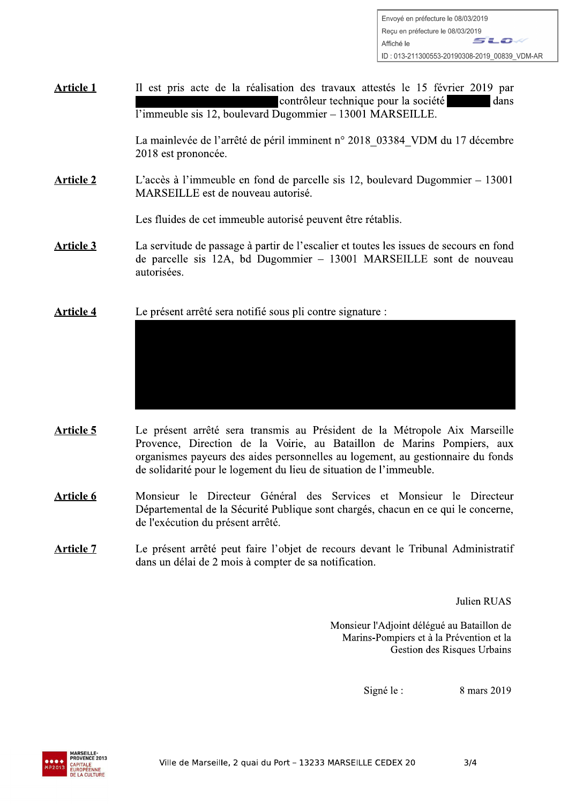**Article 1** Il est pris acte de la réalisation des travaux attestés le 15 février 2019 par contrôleur technique pour la société dans  $\overline{1}$ 'immeuble sis 12, boulevard Dugommier - 13001 MARSEILLE.

> La mainlevée de l'arrêté de péril imminent n° 2018 03384 VDM du 17 décembre 2018 est prononcée.

**Article 2** L'accès à l'immeuble en fond de parcelle sis 12, boulevard Dugommier  $-13001$ MARSEILLE est de nouveau autorisé.

Les fluides de cet immeuble autorisé peuvent être rétablis.

- **Article 3** La servitude de passage à partir de l'escalier et toutes les issues de secours en fond de parcelle sis 12A, bd Dugommier - 13001 MARSEILLE sont de nouveau autorisées.
- **Article 4** Le présent arrêté sera notifié sous pli contre signature :

- **Article 5** Le présent arrêté sera transmis au Président de la Métropole Aix Marseille Provence, Direction de la Voirie, au Bataillon de Marins Pompiers, aux organismes payeurs des aides personnelles au logement, au gestionnaire du fonds de solidarité pour le logement du lieu de situation de l'immeuble.
- Monsieur le Directeur Général des Services et Monsieur le Directeur Article 6 Départemental de la Sécurité Publique sont chargés, chacun en ce qui le concerne, de l'exécution du présent arrêté.
- Le présent arrêté peut faire l'objet de recours devant le Tribunal Administratif **Article 7** dans un délai de 2 mois à compter de sa notification.

Julien RUAS

Monsieur l'Adjoint délégué au Bataillon de Marins-Pompiers et à la Prévention et la Gestion des Risques Urbains

> 8 mars 2019 Signé le :

> > $3/4$